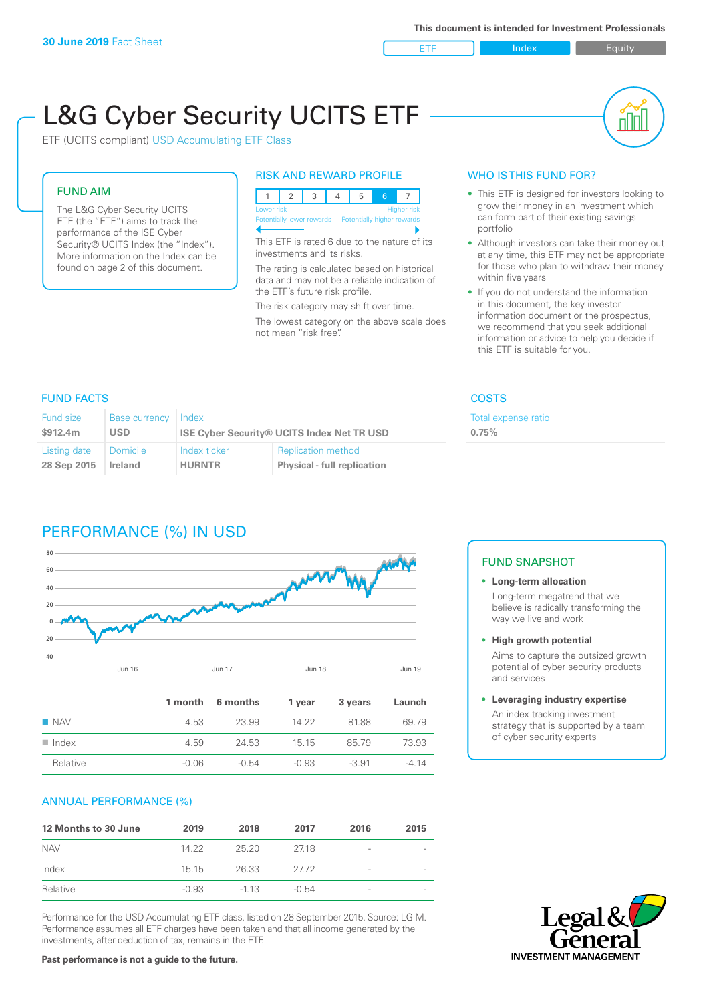ETF Index Buity

nl M

# L&G Cyber Security UCITS ETF

ETF (UCITS compliant) USD Accumulating ETF Class

#### FUND AIM

The L&G Cyber Security UCITS ETF (the "ETF") aims to track the performance of the ISE Cyber Security® UCITS Index (the "Index"). More information on the Index can be found on page 2 of this document.

#### RISK AND REWARD PROFILE

| Lower risk |  |  |                                                      |  | Higher risk |  |  |
|------------|--|--|------------------------------------------------------|--|-------------|--|--|
|            |  |  | Potentially lower rewards Potentially higher rewards |  |             |  |  |
|            |  |  |                                                      |  |             |  |  |

This ETF is rated 6 due to the nature of its investments and its risks.

The rating is calculated based on historical data and may not be a reliable indication of the ETF's future risk profile.

The risk category may shift over time. The lowest category on the above scale does not mean "risk free".

#### WHO IS THIS FUND FOR?

- This ETF is designed for investors looking to grow their money in an investment which can form part of their existing savings portfolio
- Although investors can take their money out at any time, this ETF may not be appropriate for those who plan to withdraw their money within five years
- If you do not understand the information in this document, the key investor information document or the prospectus, we recommend that you seek additional information or advice to help you decide if this ETF is suitable for you.

Total expense ratio

**0.75%**

#### FUND FACTS COSTS

| <b>Fund size</b> | <b>Base currency</b> | Index                                             |                                    |  |
|------------------|----------------------|---------------------------------------------------|------------------------------------|--|
| \$912.4m         | <b>USD</b>           | <b>ISE Cyber Security® UCITS Index Net TR USD</b> |                                    |  |
| Listing date     | <b>Domicile</b>      | Index ticker                                      | <b>Replication method</b>          |  |
| 28 Sep 2015      | Ireland              | <b>HURNTR</b>                                     | <b>Physical - full replication</b> |  |

## PERFORMANCE (%) IN USD



|                      |       | 1 month 6 months | 1 year  | 3 years | Launch |
|----------------------|-------|------------------|---------|---------|--------|
| $\blacksquare$ NAV   | 4.53  | 23.99            | 14.22   | 8188    | 69.79  |
| $\blacksquare$ Index | 4.59  | 24.53            | - 15 15 | 8579    | 73.93  |
| Relative             | -0.06 | $-0.54$          | $-0.93$ | $-3.91$ | $-414$ |

#### ANNUAL PERFORMANCE (%)

| 12 Months to 30 June | 2019    | 2018   | 2017    | 2016            | 2015 |
|----------------------|---------|--------|---------|-----------------|------|
| <b>NAV</b>           | 14.22   | 25.20  | 2718    | $\qquad \qquad$ |      |
| Index                | 15, 15  | 26.33  | 27.72   | $\qquad \qquad$ |      |
| Relative             | $-0.93$ | $-113$ | $-0.54$ | -               |      |

Performance for the USD Accumulating ETF class, listed on 28 September 2015. Source: LGIM. Performance assumes all ETF charges have been taken and that all income generated by the investments, after deduction of tax, remains in the ETF.

### FUND SNAPSHOT

**• Long-term allocation** Long-term megatrend that we believe is radically transforming the way we live and work

**• High growth potential**

Aims to capture the outsized growth potential of cyber security products and services

#### **• Leveraging industry expertise**

An index tracking investment strategy that is supported by a team of cyber security experts



**Past performance is not a guide to the future.**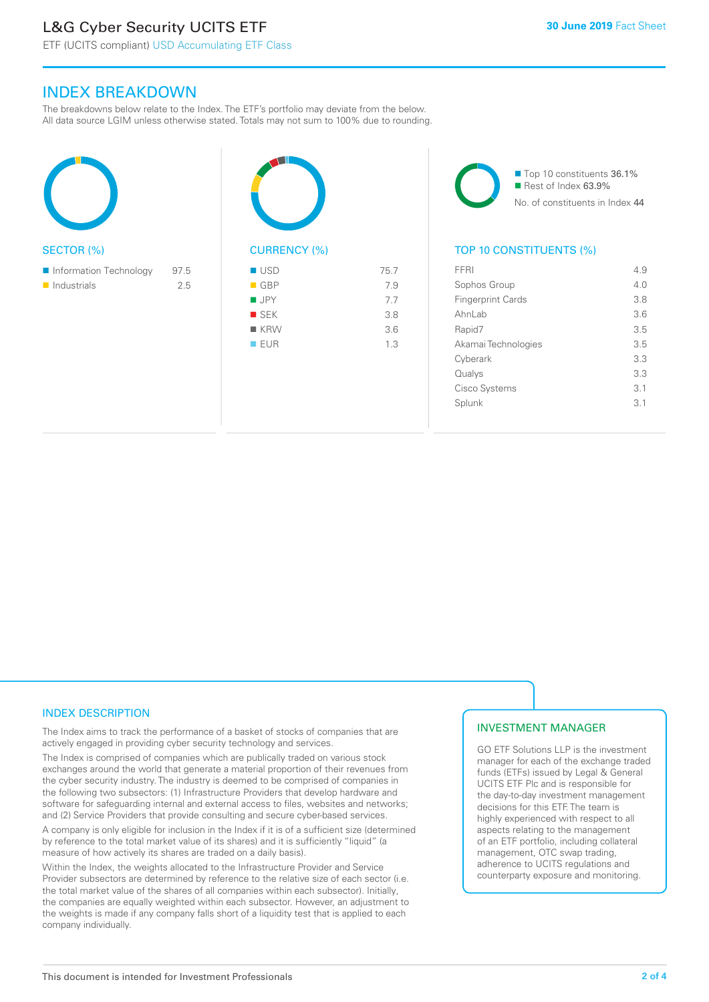# L&G Cyber Security UCITS ETF

# INDEX BREAKDOWN

The breakdowns below relate to the Index. The ETF's portfolio may deviate from the below. All data source LGIM unless otherwise stated. Totals may not sum to 100% due to rounding.





■ Top 10 constituents 36.1% Rest of Index 63.9% No. of constituents in Index 44

#### TOP 10 CONSTITUENTS (%)

| FFRI                     | 4.9 |
|--------------------------|-----|
| Sophos Group             | 4 N |
| <b>Fingerprint Cards</b> | 3.8 |
| Ahnl ah                  | 3.6 |
| Rapid7                   | 3.5 |
| Akamai Technologies      | 3.5 |
| Cyberark                 | 3.3 |
| Qualys                   | 3.3 |
| Cisco Systems            | 3.1 |
| Splunk                   | 3.1 |
|                          |     |

#### INDEX DESCRIPTION

The Index aims to track the performance of a basket of stocks of companies that are actively engaged in providing cyber security technology and services.

The Index is comprised of companies which are publically traded on various stock exchanges around the world that generate a material proportion of their revenues from the cyber security industry. The industry is deemed to be comprised of companies in the following two subsectors: (1) Infrastructure Providers that develop hardware and software for safeguarding internal and external access to files, websites and networks; and (2) Service Providers that provide consulting and secure cyber-based services.

A company is only eligible for inclusion in the Index if it is of a sufficient size (determined by reference to the total market value of its shares) and it is sufficiently "liquid" (a measure of how actively its shares are traded on a daily basis).

Within the Index, the weights allocated to the Infrastructure Provider and Service Provider subsectors are determined by reference to the relative size of each sector (i.e. the total market value of the shares of all companies within each subsector). Initially, the companies are equally weighted within each subsector. However, an adjustment to the weights is made if any company falls short of a liquidity test that is applied to each company individually.

#### INVESTMENT MANAGER

GO ETF Solutions LLP is the investment manager for each of the exchange traded funds (ETFs) issued by Legal & General UCITS ETF Plc and is responsible for the day-to-day investment management decisions for this ETF. The team is highly experienced with respect to all aspects relating to the management of an ETF portfolio, including collateral management, OTC swap trading, adherence to UCITS regulations and counterparty exposure and monitoring.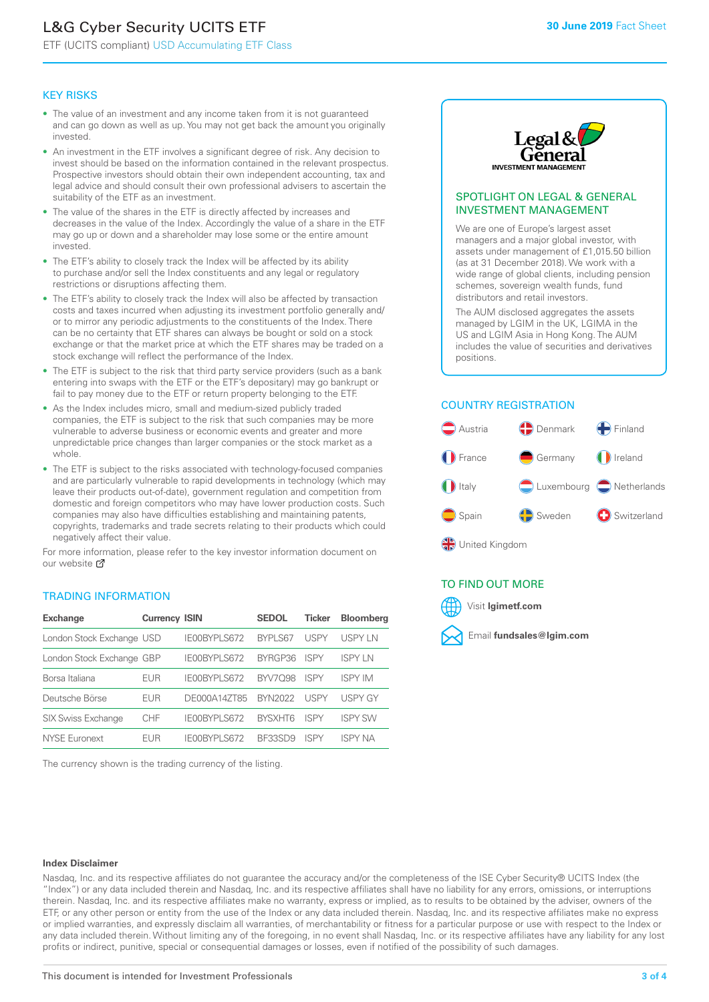# L&G Cyber Security UCITS ETF

ETF (UCITS compliant) USD Accumulating ETF Class

#### KEY RISKS

- The value of an investment and any income taken from it is not guaranteed and can go down as well as up. You may not get back the amount you originally invested.
- An investment in the ETF involves a significant degree of risk. Any decision to invest should be based on the information contained in the relevant prospectus. Prospective investors should obtain their own independent accounting, tax and legal advice and should consult their own professional advisers to ascertain the suitability of the ETF as an investment.
- The value of the shares in the ETF is directly affected by increases and decreases in the value of the Index. Accordingly the value of a share in the ETF may go up or down and a shareholder may lose some or the entire amount invested.
- The ETF's ability to closely track the Index will be affected by its ability to purchase and/or sell the Index constituents and any legal or regulatory restrictions or disruptions affecting them.
- The ETF's ability to closely track the Index will also be affected by transaction costs and taxes incurred when adjusting its investment portfolio generally and/ or to mirror any periodic adjustments to the constituents of the Index. There can be no certainty that ETF shares can always be bought or sold on a stock exchange or that the market price at which the ETF shares may be traded on a stock exchange will reflect the performance of the Index.
- The ETF is subject to the risk that third party service providers (such as a bank entering into swaps with the ETF or the ETF's depositary) may go bankrupt or fail to pay money due to the ETF or return property belonging to the ETF.
- As the Index includes micro, small and medium-sized publicly traded companies, the ETF is subject to the risk that such companies may be more vulnerable to adverse business or economic events and greater and more unpredictable price changes than larger companies or the stock market as a whole.
- The ETF is subject to the risks associated with technology-focused companies and are particularly vulnerable to rapid developments in technology (which may leave their products out-of-date), government regulation and competition from domestic and foreign competitors who may have lower production costs. Such companies may also have difficulties establishing and maintaining patents, copyrights, trademarks and trade secrets relating to their products which could negatively affect their value.

For more information, please refer to the key investor information document on our website Ø

#### TRADING INFORMATION

| <b>Exchange</b>           | <b>Currency ISIN</b> |              | <b>SEDOL</b>   | <b>Ticker</b> | <b>Bloomberg</b> |
|---------------------------|----------------------|--------------|----------------|---------------|------------------|
| London Stock Exchange USD |                      | IE00BYPLS672 | <b>BYPLS67</b> | USPY          | <b>USPYLN</b>    |
| London Stock Exchange GBP |                      | IE00BYPLS672 | BYRGP36        | <b>ISPY</b>   | <b>ISPY IN</b>   |
| Borsa Italiana            | EUR                  | IE00BYPLS672 | <b>BYV7098</b> | <b>ISPY</b>   | <b>ISPY IM</b>   |
| Deutsche Börse            | EUR                  | DE000A14ZT85 | <b>BYN2022</b> | USPY          | <b>USPY GY</b>   |
| <b>SIX Swiss Exchange</b> | <b>CHF</b>           | IE00BYPLS672 | <b>RYSXHT6</b> | <b>ISPY</b>   | <b>ISPY SW</b>   |
| NYSE Euronext             | <b>FUR</b>           | IE00BYPLS672 | <b>BE33SD9</b> | ISPY          | <b>ISPY NA</b>   |

The currency shown is the trading currency of the listing.



#### SPOTLIGHT ON LEGAL & GENERAL INVESTMENT MANAGEMENT

We are one of Europe's largest asset managers and a major global investor, with assets under management of £1,015.50 billion (as at 31 December 2018). We work with a wide range of global clients, including pension schemes, sovereign wealth funds, fund distributors and retail investors.

The AUM disclosed aggregates the assets managed by LGIM in the UK, LGIMA in the US and LGIM Asia in Hong Kong. The AUM includes the value of securities and derivatives positions.

#### COUNTRY REGISTRATION



#### TO FIND OUT MORE



#### **Index Disclaimer**

Nasdaq, Inc. and its respective affiliates do not guarantee the accuracy and/or the completeness of the ISE Cyber Security® UCITS Index (the "Index") or any data included therein and Nasdaq, Inc. and its respective affiliates shall have no liability for any errors, omissions, or interruptions therein. Nasdaq, Inc. and its respective affiliates make no warranty, express or implied, as to results to be obtained by the adviser, owners of the ETF, or any other person or entity from the use of the Index or any data included therein. Nasdaq, Inc. and its respective affiliates make no express or implied warranties, and expressly disclaim all warranties, of merchantability or fitness for a particular purpose or use with respect to the Index or any data included therein. Without limiting any of the foregoing, in no event shall Nasdaq, Inc. or its respective affiliates have any liability for any lost profits or indirect, punitive, special or consequential damages or losses, even if notified of the possibility of such damages.